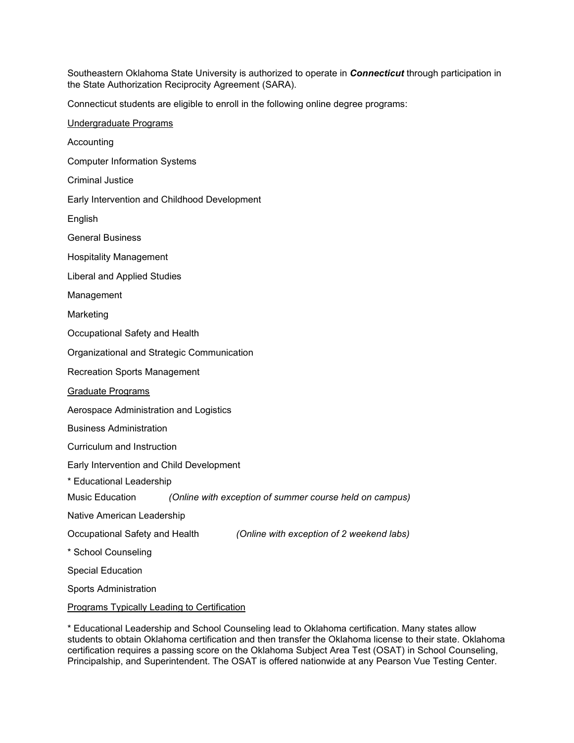Southeastern Oklahoma State University is authorized to operate in *Connecticut* through participation in the State Authorization Reciprocity Agreement (SARA).

Connecticut students are eligible to enroll in the following online degree programs:

| Undergraduate Programs                                                      |
|-----------------------------------------------------------------------------|
| Accounting                                                                  |
| <b>Computer Information Systems</b>                                         |
| <b>Criminal Justice</b>                                                     |
| Early Intervention and Childhood Development                                |
| English                                                                     |
| <b>General Business</b>                                                     |
| <b>Hospitality Management</b>                                               |
| Liberal and Applied Studies                                                 |
| Management                                                                  |
| Marketing                                                                   |
| Occupational Safety and Health                                              |
| Organizational and Strategic Communication                                  |
| <b>Recreation Sports Management</b>                                         |
| Graduate Programs                                                           |
| Aerospace Administration and Logistics                                      |
| <b>Business Administration</b>                                              |
| Curriculum and Instruction                                                  |
| Early Intervention and Child Development                                    |
| * Educational Leadership                                                    |
| Music Education<br>(Online with exception of summer course held on campus)  |
| Native American Leadership                                                  |
| (Online with exception of 2 weekend labs)<br>Occupational Safety and Health |
| * School Counseling                                                         |
| <b>Special Education</b>                                                    |
| <b>Sports Administration</b>                                                |
| <b>Programs Typically Leading to Certification</b>                          |

\* Educational Leadership and School Counseling lead to Oklahoma certification. Many states allow students to obtain Oklahoma certification and then transfer the Oklahoma license to their state. Oklahoma certification requires a passing score on the Oklahoma Subject Area Test (OSAT) in School Counseling, Principalship, and Superintendent. The OSAT is offered nationwide at any Pearson Vue Testing Center.